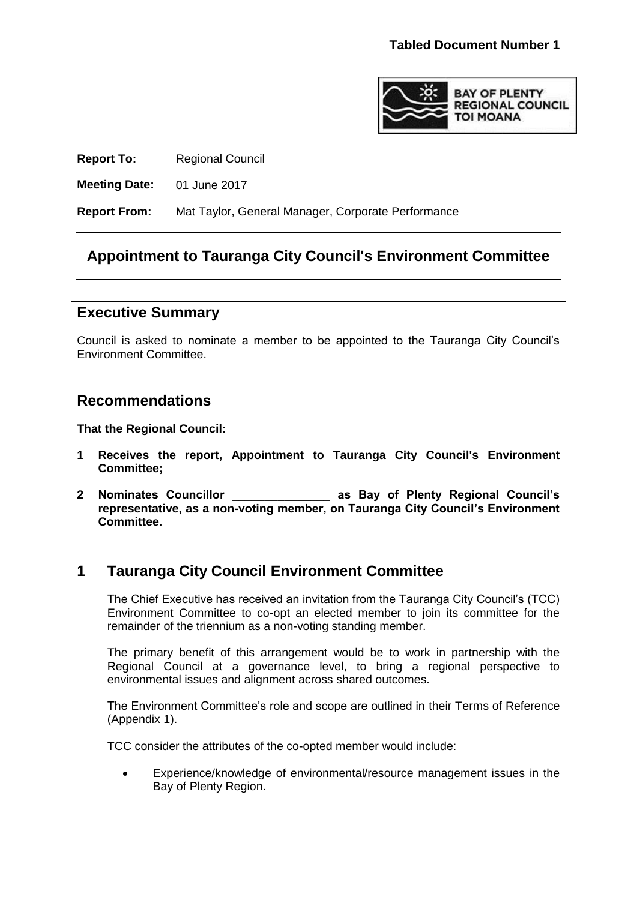

**Report To:** Regional Council

**Meeting Date:** 01 June 2017

**Report From:** Mat Taylor, General Manager, Corporate Performance

## **Appointment to Tauranga City Council's Environment Committee**

### **Executive Summary**

Council is asked to nominate a member to be appointed to the Tauranga City Council's Environment Committee.

### **Recommendations**

**That the Regional Council:**

- **1 Receives the report, Appointment to Tauranga City Council's Environment Committee;**
- **2 Nominates Councillor \_\_\_\_\_\_\_\_\_\_\_\_\_\_\_ as Bay of Plenty Regional Council's representative, as a non-voting member, on Tauranga City Council's Environment Committee.**

# **1 Tauranga City Council Environment Committee**

The Chief Executive has received an invitation from the Tauranga City Council's (TCC) Environment Committee to co-opt an elected member to join its committee for the remainder of the triennium as a non-voting standing member.

The primary benefit of this arrangement would be to work in partnership with the Regional Council at a governance level, to bring a regional perspective to environmental issues and alignment across shared outcomes.

The Environment Committee's role and scope are outlined in their Terms of Reference (Appendix 1).

TCC consider the attributes of the co-opted member would include:

 Experience/knowledge of environmental/resource management issues in the Bay of Plenty Region.